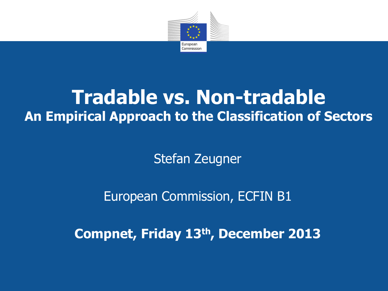

## **Tradable vs. Non-tradable An Empirical Approach to the Classification of Sectors**

Stefan Zeugner

European Commission, ECFIN B1

**Compnet, Friday 13th, December 2013**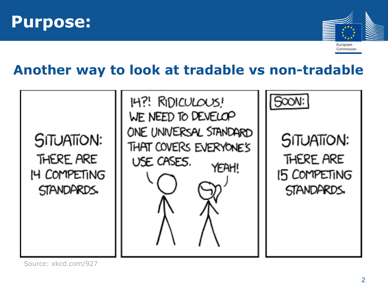



Commission

**Another way to look at tradable vs non-tradable**



Source: xkcd.com/927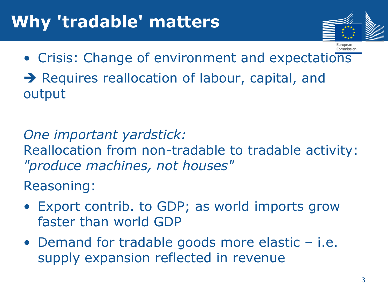

• Crisis: Change of environment and expectations → Requires reallocation of labour, capital, and output

*One important yardstick:* Reallocation from non-tradable to tradable activity: *"produce machines, not houses"*

Reasoning:

- Export contrib. to GDP; as world imports grow faster than world GDP
- Demand for tradable goods more elastic i.e. supply expansion reflected in revenue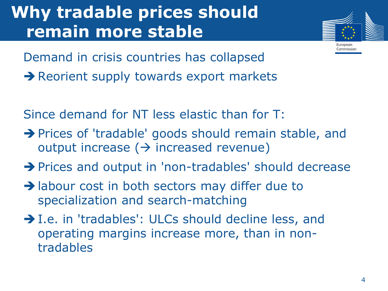## **Why tradable prices should remain more stable**



Commission

Demand in crisis countries has collapsed Reorient supply towards export markets

Since demand for NT less elastic than for T:

- $\rightarrow$  Prices of 'tradable' goods should remain stable, and output increase ( $\rightarrow$  increased revenue)
- → Prices and output in 'non-tradables' should decrease
- $\rightarrow$  labour cost in both sectors may differ due to specialization and search-matching
- $\rightarrow$  I.e. in 'tradables': ULCs should decline less, and operating margins increase more, than in nontradables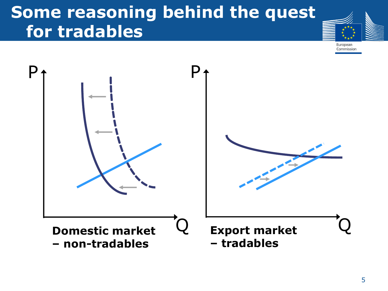## **Some reasoning behind the quest for tradables**



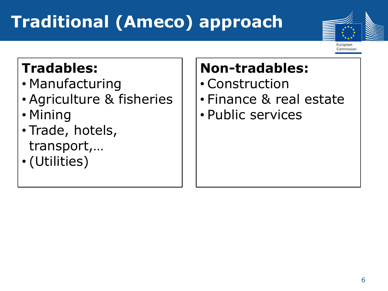# **Traditional (Ameco) approach**



Commission

#### **Tradables:**

- Manufacturing
- Agriculture & fisheries
- Mining
- Trade, hotels, transport,…
- (Utilities)

## **Non-tradables:**

- Construction
- Finance & real estate
- Public services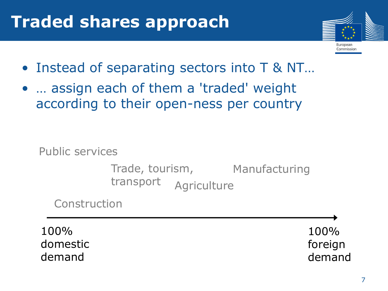## **Traded shares approach**



- Instead of separating sectors into T & NT...
- ... assign each of them a 'traded' weight according to their open-ness per country

Public services

Trade, tourism, Manufacturing **Agriculture** transport

Construction

100% domestic demand

100% foreign demand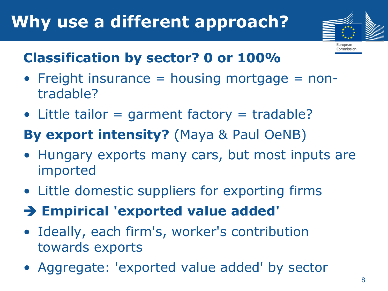

Commission

#### **Classification by sector? 0 or 100%**

- Freight insurance  $=$  housing mortgage  $=$  nontradable?
- Little tailor = garment factory = tradable?

#### **By export intensity?** (Maya & Paul OeNB)

- Hungary exports many cars, but most inputs are imported
- Little domestic suppliers for exporting firms
- **Empirical 'exported value added'**
- Ideally, each firm's, worker's contribution towards exports
- Aggregate: 'exported value added' by sector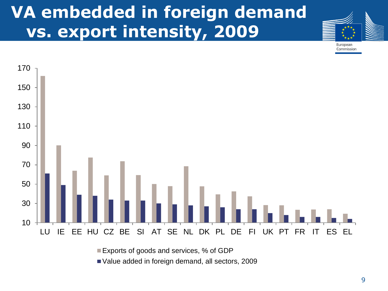## **VA embedded in foreign demand vs. export intensity, 2009**



Commission



■ Exports of goods and services, % of GDP

Value added in foreign demand, all sectors, 2009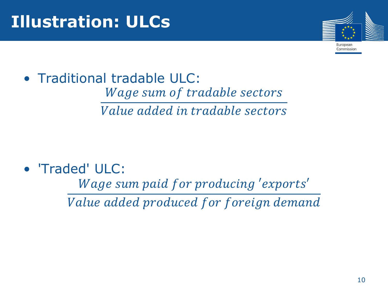

Commission

• Traditional tradable ULC: Wage sum of tradable sectors *Value added in tradable sectors* 

• 'Traded' ULC:

Wage sum paid for producing 'exports'

Value added produced for foreign demand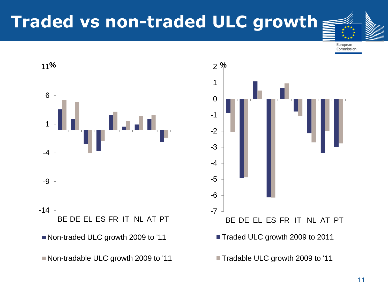## **Traded vs non-traded ULC growth**





■ Non-traded ULC growth 2009 to '11

Non-tradable ULC growth 2009 to '11

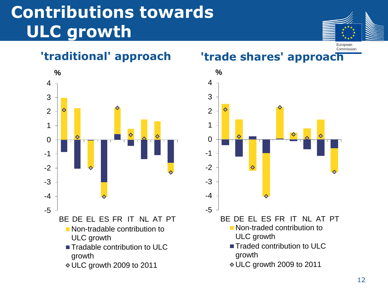## **Contributions towards ULC growth**





#### Commission **'traditional' approach 'trade shares' approach**

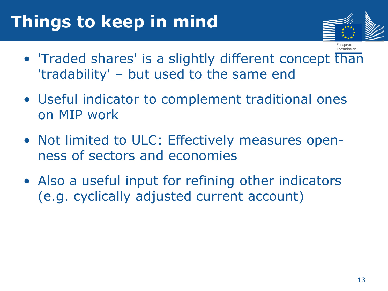## **Things to keep in mind**



Commission

- 'Traded shares' is a slightly different concept than 'tradability' – but used to the same end
- Useful indicator to complement traditional ones on MIP work
- Not limited to ULC: Effectively measures openness of sectors and economies
- Also a useful input for refining other indicators (e.g. cyclically adjusted current account)